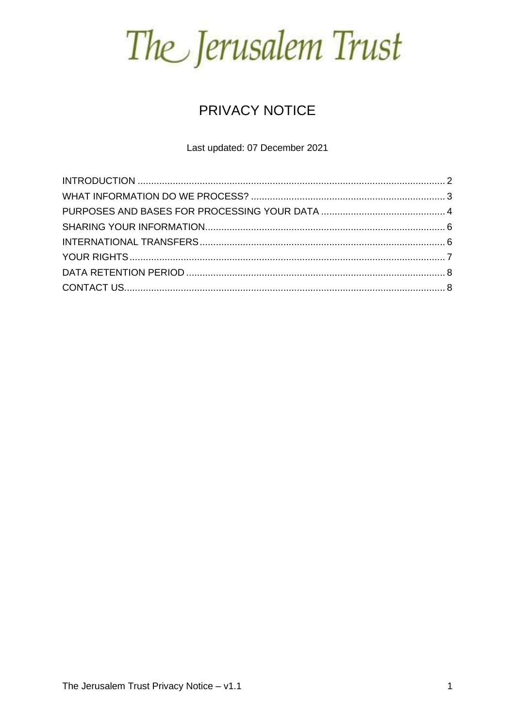The Jerusalem Trust

### **PRIVACY NOTICE**

Last updated: 07 December 2021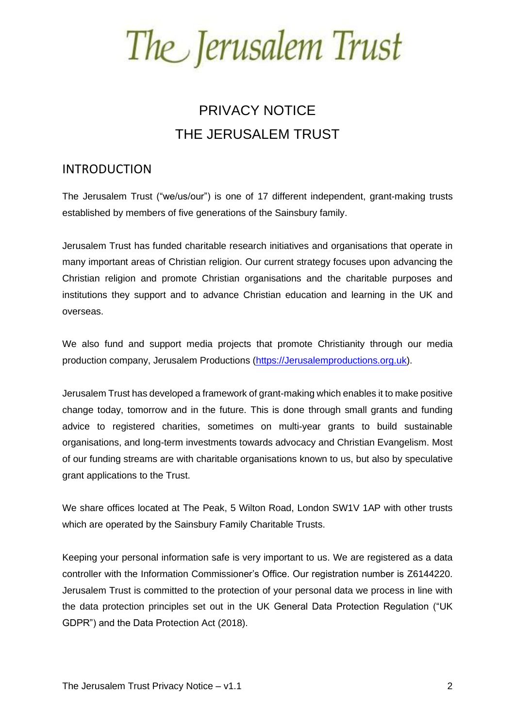The Jerusalem Trust

### PRIVACY NOTICE THE JERUSALEM TRUST

### <span id="page-1-0"></span>INTRODUCTION

The Jerusalem Trust ("we/us/our") is one of 17 different independent, grant-making trusts established by members of five generations of the Sainsbury family.

Jerusalem Trust has funded charitable research initiatives and organisations that operate in many important areas of Christian religion. Our current strategy focuses upon advancing the Christian religion and promote Christian organisations and the charitable purposes and institutions they support and to advance Christian education and learning in the UK and overseas.

We also fund and support media projects that promote Christianity through our media production company, Jerusalem Productions [\(https://Jerusalemproductions.org.uk\)](https://jerusalemproductions.org.uk/).

Jerusalem Trust has developed a framework of grant-making which enables it to make positive change today, tomorrow and in the future. This is done through small grants and funding advice to registered charities, sometimes on multi-year grants to build sustainable organisations, and long-term investments towards advocacy and Christian Evangelism. Most of our funding streams are with charitable organisations known to us, but also by speculative grant applications to the Trust.

We share offices located at The Peak, 5 Wilton Road, London SW1V 1AP with other trusts which are operated by the Sainsbury Family Charitable Trusts.

Keeping your personal information safe is very important to us. We are registered as a data controller with the Information Commissioner's Office. Our registration number is Z6144220. Jerusalem Trust is committed to the protection of your personal data we process in line with the data protection principles set out in the UK General Data Protection Regulation ("UK GDPR") and the Data Protection Act (2018).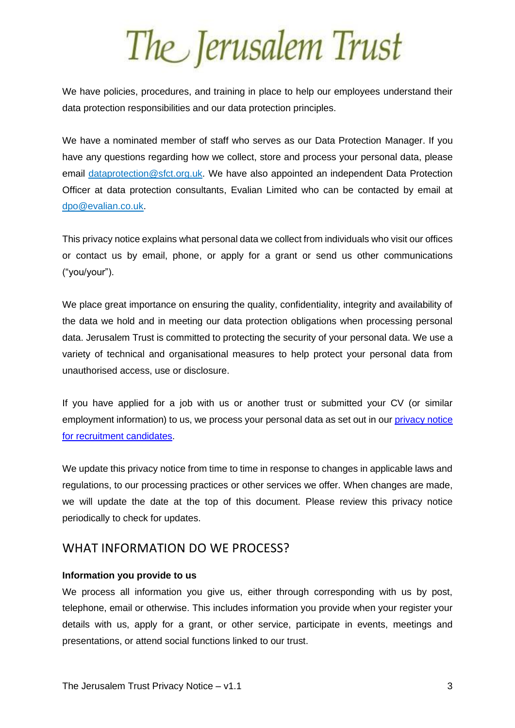We have policies, procedures, and training in place to help our employees understand their data protection responsibilities and our data protection principles.

We have a nominated member of staff who serves as our Data Protection Manager. If you have any questions regarding how we collect, store and process your personal data, please email [dataprotection@sfct.org.uk.](mailto:dataprotection@sfct.org.uk) We have also appointed an independent Data Protection Officer at data protection consultants, Evalian Limited who can be contacted by email at [dpo@evalian.co.uk.](mailto:dpo@evalian.co.uk)

This privacy notice explains what personal data we collect from individuals who visit our offices or contact us by email, phone, or apply for a grant or send us other communications ("you/your").

We place great importance on ensuring the quality, confidentiality, integrity and availability of the data we hold and in meeting our data protection obligations when processing personal data. Jerusalem Trust is committed to protecting the security of your personal data. We use a variety of technical and organisational measures to help protect your personal data from unauthorised access, use or disclosure.

If you have applied for a job with us or another trust or submitted your CV (or similar employment information) to us, we process your personal data as set out in our [privacy notice](https://www.sfct.org.uk/files/SFCT%20Job%20Applicant%20Privacy%20Notice%20-%20v1.1%20-%202021.02.16.pdf)  [for recruitment candidates.](https://www.sfct.org.uk/files/SFCT%20Job%20Applicant%20Privacy%20Notice%20-%20v1.1%20-%202021.02.16.pdf)

We update this privacy notice from time to time in response to changes in applicable laws and regulations, to our processing practices or other services we offer. When changes are made, we will update the date at the top of this document. Please review this privacy notice periodically to check for updates.

#### <span id="page-2-0"></span>WHAT INFORMATION DO WE PROCESS?

#### **Information you provide to us**

We process all information you give us, either through corresponding with us by post, telephone, email or otherwise. This includes information you provide when your register your details with us, apply for a grant, or other service, participate in events, meetings and presentations, or attend social functions linked to our trust.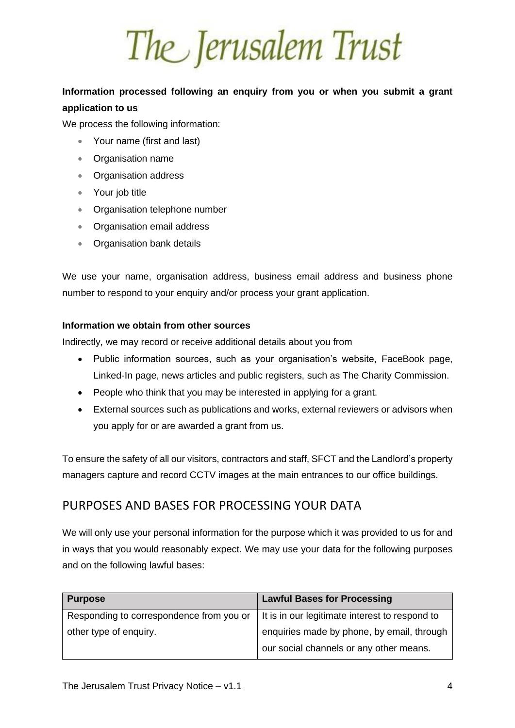The Jerusalem Trust

### **Information processed following an enquiry from you or when you submit a grant application to us**

We process the following information:

- Your name (first and last)
- Organisation name
- Organisation address
- Your job title
- Organisation telephone number
- Organisation email address
- Organisation bank details

We use your name, organisation address, business email address and business phone number to respond to your enquiry and/or process your grant application.

#### **Information we obtain from other sources**

Indirectly, we may record or receive additional details about you from

- Public information sources, such as your organisation's website, FaceBook page, Linked-In page, news articles and public registers, such as The Charity Commission.
- People who think that you may be interested in applying for a grant.
- External sources such as publications and works, external reviewers or advisors when you apply for or are awarded a grant from us.

To ensure the safety of all our visitors, contractors and staff, SFCT and the Landlord's property managers capture and record CCTV images at the main entrances to our office buildings.

### <span id="page-3-0"></span>PURPOSES AND BASES FOR PROCESSING YOUR DATA

We will only use your personal information for the purpose which it was provided to us for and in ways that you would reasonably expect. We may use your data for the following purposes and on the following lawful bases:

| <b>Purpose</b>                           | <b>Lawful Bases for Processing</b>             |
|------------------------------------------|------------------------------------------------|
| Responding to correspondence from you or | It is in our legitimate interest to respond to |
| other type of enquiry.                   | enquiries made by phone, by email, through     |
|                                          | our social channels or any other means.        |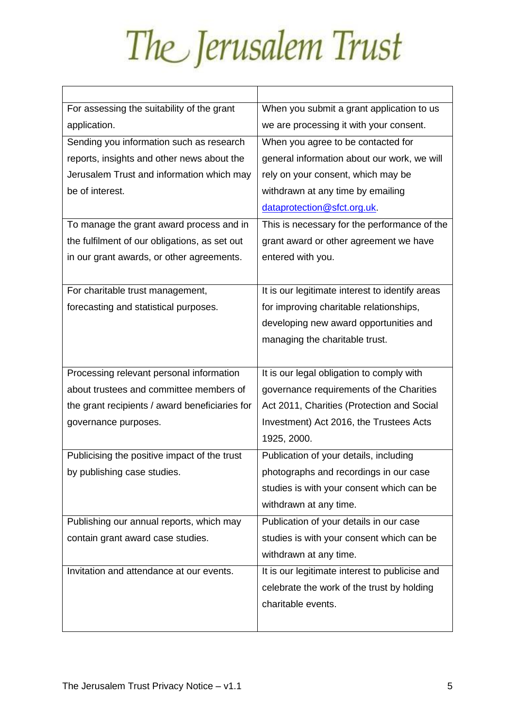| For assessing the suitability of the grant     | When you submit a grant application to us       |
|------------------------------------------------|-------------------------------------------------|
| application.                                   | we are processing it with your consent.         |
| Sending you information such as research       | When you agree to be contacted for              |
| reports, insights and other news about the     | general information about our work, we will     |
| Jerusalem Trust and information which may      | rely on your consent, which may be              |
| be of interest.                                | withdrawn at any time by emailing               |
|                                                | dataprotection@sfct.org.uk.                     |
| To manage the grant award process and in       | This is necessary for the performance of the    |
| the fulfilment of our obligations, as set out  | grant award or other agreement we have          |
| in our grant awards, or other agreements.      | entered with you.                               |
|                                                |                                                 |
| For charitable trust management,               | It is our legitimate interest to identify areas |
| forecasting and statistical purposes.          | for improving charitable relationships,         |
|                                                | developing new award opportunities and          |
|                                                | managing the charitable trust.                  |
|                                                |                                                 |
| Processing relevant personal information       | It is our legal obligation to comply with       |
| about trustees and committee members of        | governance requirements of the Charities        |
| the grant recipients / award beneficiaries for | Act 2011, Charities (Protection and Social      |
| governance purposes.                           | Investment) Act 2016, the Trustees Acts         |
|                                                | 1925, 2000.                                     |
| Publicising the positive impact of the trust   | Publication of your details, including          |
| by publishing case studies.                    | photographs and recordings in our case          |
|                                                | studies is with your consent which can be       |
|                                                | withdrawn at any time.                          |
| Publishing our annual reports, which may       | Publication of your details in our case         |
| contain grant award case studies.              | studies is with your consent which can be       |
|                                                | withdrawn at any time.                          |
| Invitation and attendance at our events.       | It is our legitimate interest to publicise and  |
|                                                | celebrate the work of the trust by holding      |
|                                                | charitable events.                              |
|                                                |                                                 |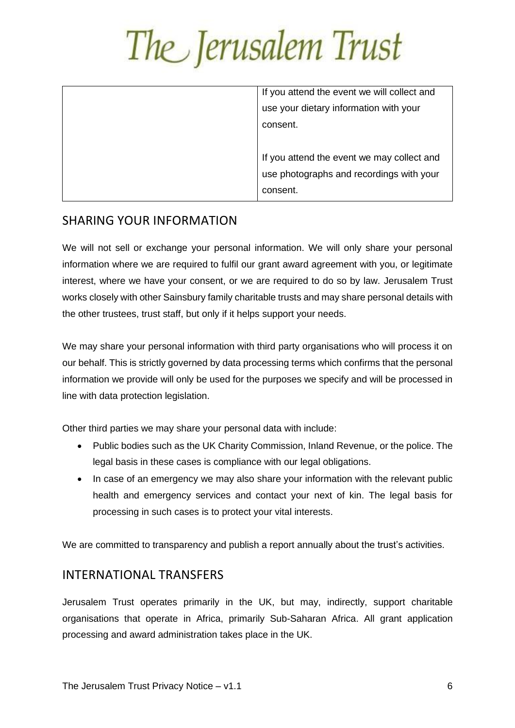| If you attend the event we will collect and |
|---------------------------------------------|
| use your dietary information with your      |
| consent.                                    |
|                                             |
| If you attend the event we may collect and  |
| use photographs and recordings with your    |
| consent.                                    |
|                                             |

### <span id="page-5-0"></span>SHARING YOUR INFORMATION

We will not sell or exchange your personal information. We will only share your personal information where we are required to fulfil our grant award agreement with you, or legitimate interest, where we have your consent, or we are required to do so by law. Jerusalem Trust works closely with other Sainsbury family charitable trusts and may share personal details with the other trustees, trust staff, but only if it helps support your needs.

We may share your personal information with third party organisations who will process it on our behalf. This is strictly governed by data processing terms which confirms that the personal information we provide will only be used for the purposes we specify and will be processed in line with data protection legislation.

Other third parties we may share your personal data with include:

- Public bodies such as the UK Charity Commission, Inland Revenue, or the police. The legal basis in these cases is compliance with our legal obligations.
- In case of an emergency we may also share your information with the relevant public health and emergency services and contact your next of kin. The legal basis for processing in such cases is to protect your vital interests.

We are committed to transparency and publish a report annually about the trust's activities.

### <span id="page-5-1"></span>INTERNATIONAL TRANSFERS

Jerusalem Trust operates primarily in the UK, but may, indirectly, support charitable organisations that operate in Africa, primarily Sub-Saharan Africa. All grant application processing and award administration takes place in the UK.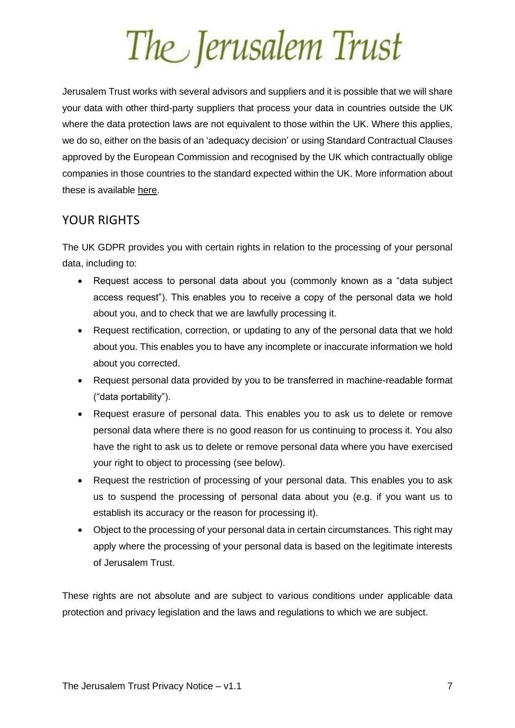The Jerusalem Trust

Jerusalem Trust works with several advisors and suppliers and it is possible that we will share your data with other third-party suppliers that process your data in countries outside the UK where the data protection laws are not equivalent to those within the UK. Where this applies, we do so, either on the basis of an 'adequacy decision' or using Standard Contractual Clauses approved by the European Commission and recognised by the UK which contractually oblige companies in those countries to the standard expected within the UK. More information about these is available [here.](http://eur-lex.europa.eu/legal-content/en/TXT/?uri=CELEX:32010D0087)

### <span id="page-6-0"></span>YOUR RIGHTS

The UK GDPR provides you with certain rights in relation to the processing of your personal data, including to:

- Request access to personal data about you (commonly known as a "data subject access request"). This enables you to receive a copy of the personal data we hold about you, and to check that we are lawfully processing it.
- Request rectification, correction, or updating to any of the personal data that we hold about you. This enables you to have any incomplete or inaccurate information we hold about you corrected.
- Request personal data provided by you to be transferred in machine-readable format ("data portability").
- Request erasure of personal data. This enables you to ask us to delete or remove personal data where there is no good reason for us continuing to process it. You also have the right to ask us to delete or remove personal data where you have exercised your right to object to processing (see below).
- Request the restriction of processing of your personal data. This enables you to ask us to suspend the processing of personal data about you (e.g. if you want us to establish its accuracy or the reason for processing it).
- Object to the processing of your personal data in certain circumstances. This right may apply where the processing of your personal data is based on the legitimate interests of Jerusalem Trust.

These rights are not absolute and are subject to various conditions under applicable data protection and privacy legislation and the laws and regulations to which we are subject.